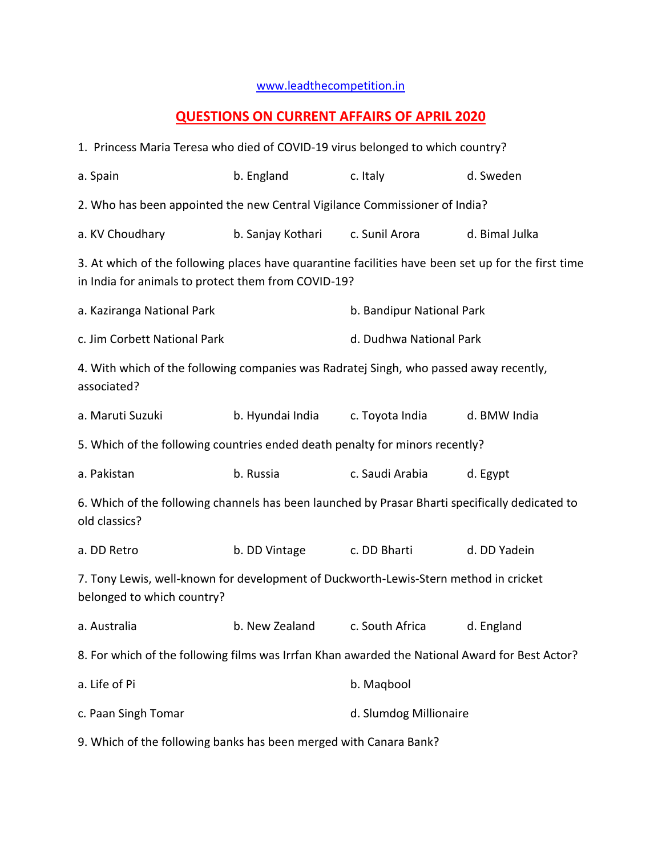## [www.leadthecompetition.in](http://www.leadthecompetition.in/)

## **QUESTIONS ON CURRENT AFFAIRS OF APRIL 2020**

| 1. Princess Maria Teresa who died of COVID-19 virus belonged to which country?                                                                            |                                           |                           |                |  |  |
|-----------------------------------------------------------------------------------------------------------------------------------------------------------|-------------------------------------------|---------------------------|----------------|--|--|
| a. Spain                                                                                                                                                  | b. England                                | c. Italy                  | d. Sweden      |  |  |
| 2. Who has been appointed the new Central Vigilance Commissioner of India?                                                                                |                                           |                           |                |  |  |
| a. KV Choudhary                                                                                                                                           | b. Sanjay Kothari                         | c. Sunil Arora            | d. Bimal Julka |  |  |
| 3. At which of the following places have quarantine facilities have been set up for the first time<br>in India for animals to protect them from COVID-19? |                                           |                           |                |  |  |
| a. Kaziranga National Park                                                                                                                                |                                           | b. Bandipur National Park |                |  |  |
| c. Jim Corbett National Park                                                                                                                              |                                           | d. Dudhwa National Park   |                |  |  |
| 4. With which of the following companies was Radratej Singh, who passed away recently,<br>associated?                                                     |                                           |                           |                |  |  |
| a. Maruti Suzuki                                                                                                                                          | b. Hyundai India                          | c. Toyota India           | d. BMW India   |  |  |
| 5. Which of the following countries ended death penalty for minors recently?                                                                              |                                           |                           |                |  |  |
| a. Pakistan                                                                                                                                               | b. Russia                                 |                           | d. Egypt       |  |  |
| 6. Which of the following channels has been launched by Prasar Bharti specifically dedicated to<br>old classics?                                          |                                           |                           |                |  |  |
| a. DD Retro                                                                                                                                               | b. DD Vintage                             | c. DD Bharti              | d. DD Yadein   |  |  |
| 7. Tony Lewis, well-known for development of Duckworth-Lewis-Stern method in cricket<br>belonged to which country?                                        |                                           |                           |                |  |  |
| a. Australia                                                                                                                                              | b. New Zealand c. South Africa d. England |                           |                |  |  |
| 8. For which of the following films was Irrfan Khan awarded the National Award for Best Actor?                                                            |                                           |                           |                |  |  |
| a. Life of Pi                                                                                                                                             |                                           | b. Magbool                |                |  |  |
| c. Paan Singh Tomar                                                                                                                                       |                                           | d. Slumdog Millionaire    |                |  |  |
| 9. Which of the following banks has been merged with Canara Bank?                                                                                         |                                           |                           |                |  |  |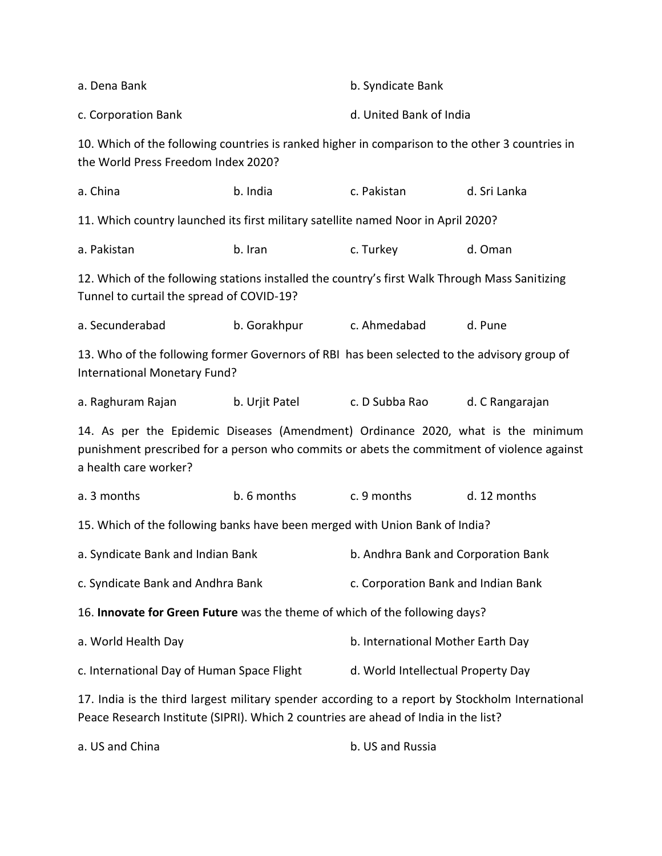| a. Dena Bank                                                                                                                                                                                            |                | b. Syndicate Bank                                                                               |                 |  |  |
|---------------------------------------------------------------------------------------------------------------------------------------------------------------------------------------------------------|----------------|-------------------------------------------------------------------------------------------------|-----------------|--|--|
| c. Corporation Bank                                                                                                                                                                                     |                | d. United Bank of India                                                                         |                 |  |  |
| the World Press Freedom Index 2020?                                                                                                                                                                     |                | 10. Which of the following countries is ranked higher in comparison to the other 3 countries in |                 |  |  |
| a. China                                                                                                                                                                                                | b. India       | c. Pakistan                                                                                     | d. Sri Lanka    |  |  |
| 11. Which country launched its first military satellite named Noor in April 2020?                                                                                                                       |                |                                                                                                 |                 |  |  |
| a. Pakistan                                                                                                                                                                                             | b. Iran        | c. Turkey                                                                                       | d. Oman         |  |  |
| 12. Which of the following stations installed the country's first Walk Through Mass Sanitizing<br>Tunnel to curtail the spread of COVID-19?                                                             |                |                                                                                                 |                 |  |  |
| a. Secunderabad                                                                                                                                                                                         | b. Gorakhpur   | c. Ahmedabad                                                                                    | d. Pune         |  |  |
| 13. Who of the following former Governors of RBI has been selected to the advisory group of<br>International Monetary Fund?                                                                             |                |                                                                                                 |                 |  |  |
| a. Raghuram Rajan                                                                                                                                                                                       | b. Urjit Patel | c. D Subba Rao                                                                                  | d. C Rangarajan |  |  |
| 14. As per the Epidemic Diseases (Amendment) Ordinance 2020, what is the minimum<br>punishment prescribed for a person who commits or abets the commitment of violence against<br>a health care worker? |                |                                                                                                 |                 |  |  |
| a. 3 months                                                                                                                                                                                             | b. 6 months    | c. 9 months                                                                                     | d. 12 months    |  |  |
| 15. Which of the following banks have been merged with Union Bank of India?                                                                                                                             |                |                                                                                                 |                 |  |  |
| a. Syndicate Bank and Indian Bank                                                                                                                                                                       |                | b. Andhra Bank and Corporation Bank                                                             |                 |  |  |
| c. Syndicate Bank and Andhra Bank                                                                                                                                                                       |                | c. Corporation Bank and Indian Bank                                                             |                 |  |  |
| 16. Innovate for Green Future was the theme of which of the following days?                                                                                                                             |                |                                                                                                 |                 |  |  |
| a. World Health Day                                                                                                                                                                                     |                | b. International Mother Earth Day                                                               |                 |  |  |
| c. International Day of Human Space Flight                                                                                                                                                              |                | d. World Intellectual Property Day                                                              |                 |  |  |
| 17. India is the third largest military spender according to a report by Stockholm International<br>Peace Research Institute (SIPRI). Which 2 countries are ahead of India in the list?                 |                |                                                                                                 |                 |  |  |

a. US and China b. US and Russia